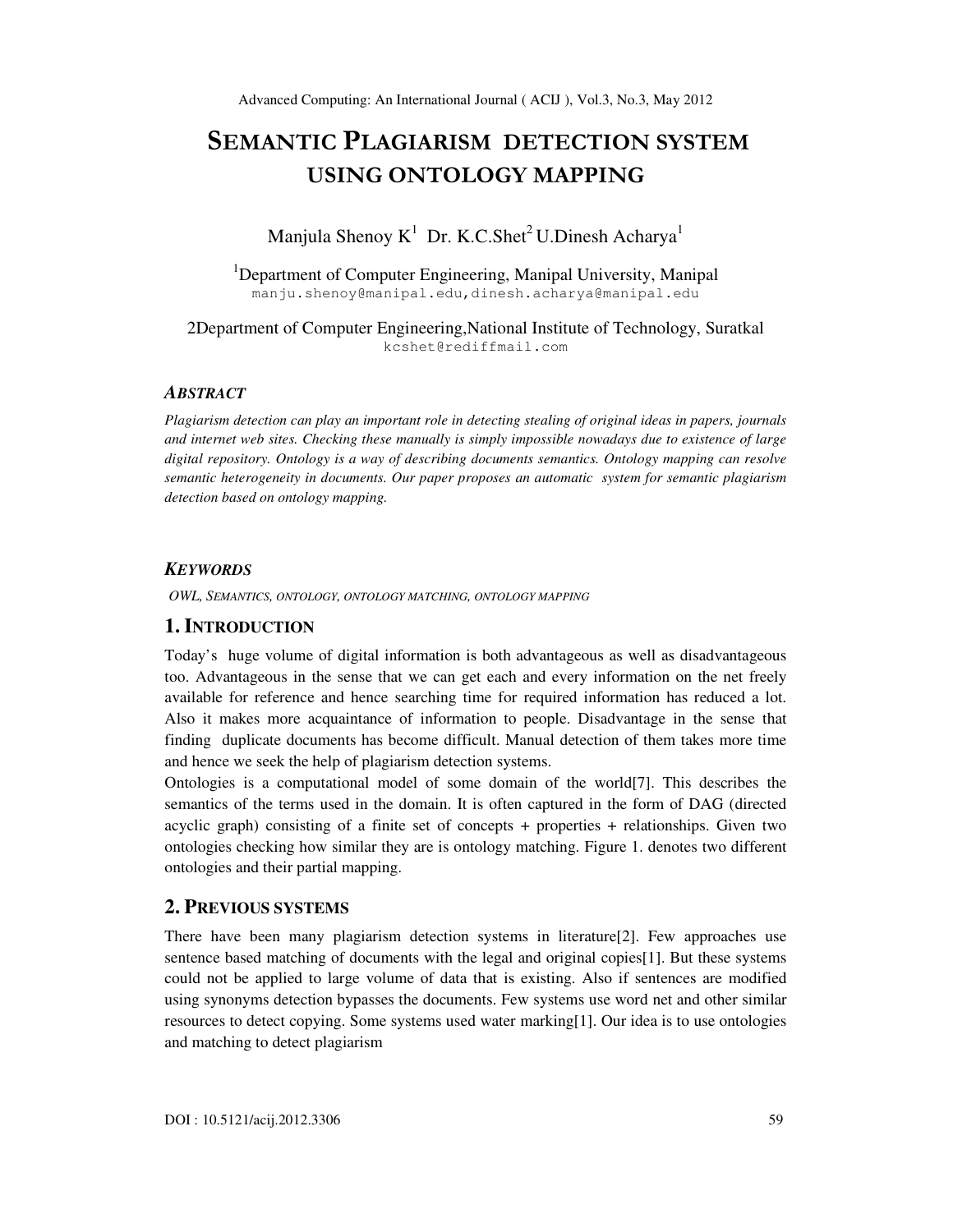# SEMANTIC PLAGIARISM DETECTION SYSTEM USING ONTOLOGY MAPPING

## Manjula Shenoy K<sup>1</sup> Dr. K.C.Shet<sup>2</sup> U.Dinesh Acharya<sup>1</sup>

<sup>1</sup>Department of Computer Engineering, Manipal University, Manipal manju.shenoy@manipal.edu,dinesh.acharya@manipal.edu

2Department of Computer Engineering,National Institute of Technology, Suratkal kcshet@rediffmail.com

## *ABSTRACT*

*Plagiarism detection can play an important role in detecting stealing of original ideas in papers, journals and internet web sites. Checking these manually is simply impossible nowadays due to existence of large digital repository. Ontology is a way of describing documents semantics. Ontology mapping can resolve semantic heterogeneity in documents. Our paper proposes an automatic system for semantic plagiarism detection based on ontology mapping.* 

#### *KEYWORDS*

*OWL, SEMANTICS, ONTOLOGY, ONTOLOGY MATCHING, ONTOLOGY MAPPING* 

#### **1. INTRODUCTION**

Today's huge volume of digital information is both advantageous as well as disadvantageous too. Advantageous in the sense that we can get each and every information on the net freely available for reference and hence searching time for required information has reduced a lot. Also it makes more acquaintance of information to people. Disadvantage in the sense that finding duplicate documents has become difficult. Manual detection of them takes more time and hence we seek the help of plagiarism detection systems.

Ontologies is a computational model of some domain of the world[7]. This describes the semantics of the terms used in the domain. It is often captured in the form of DAG (directed acyclic graph) consisting of a finite set of concepts + properties + relationships. Given two ontologies checking how similar they are is ontology matching. Figure 1. denotes two different ontologies and their partial mapping.

#### **2. PREVIOUS SYSTEMS**

There have been many plagiarism detection systems in literature[2]. Few approaches use sentence based matching of documents with the legal and original copies[1]. But these systems could not be applied to large volume of data that is existing. Also if sentences are modified using synonyms detection bypasses the documents. Few systems use word net and other similar resources to detect copying. Some systems used water marking[1]. Our idea is to use ontologies and matching to detect plagiarism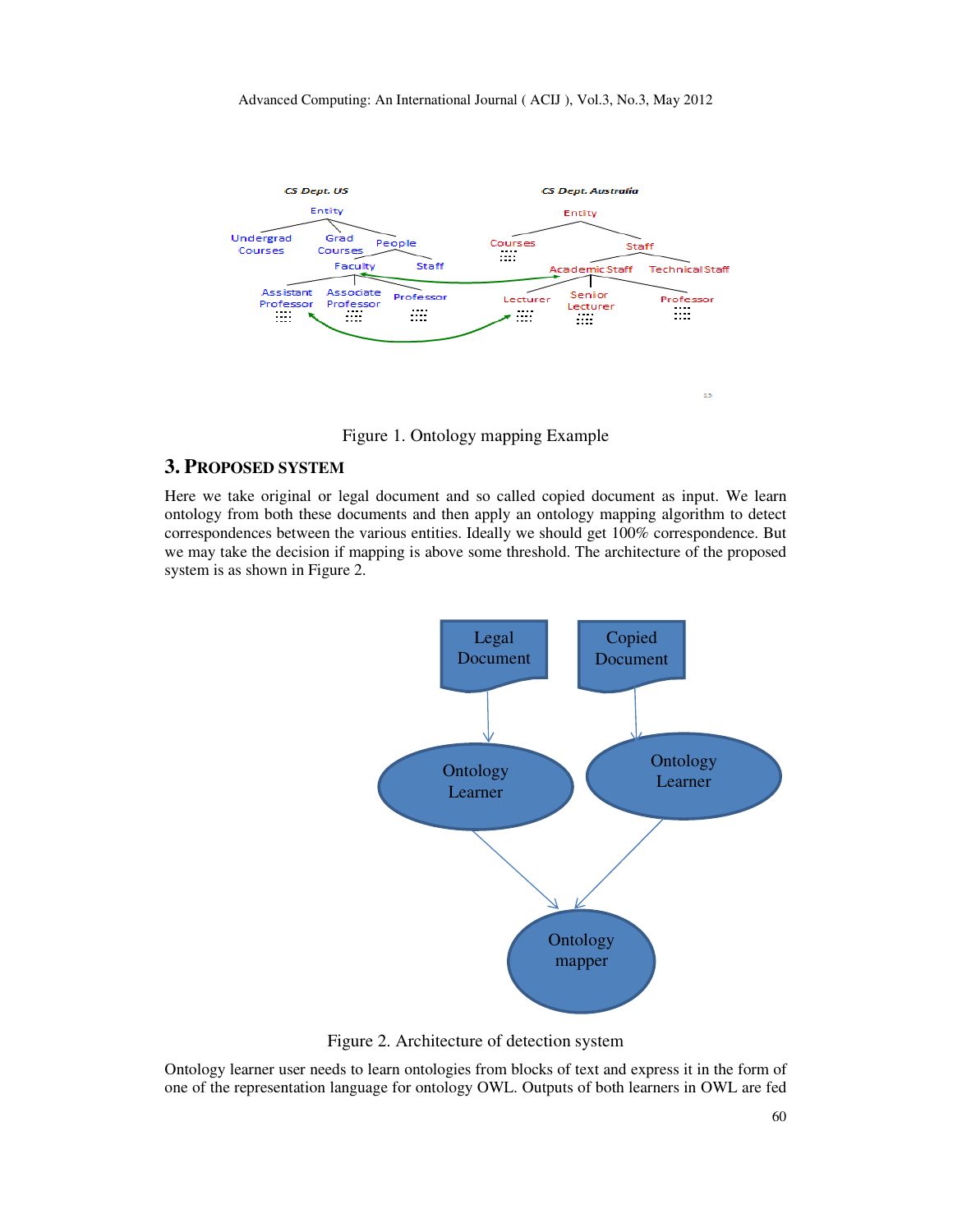

Figure 1. Ontology mapping Example

## **3. PROPOSED SYSTEM**

Here we take original or legal document and so called copied document as input. We learn ontology from both these documents and then apply an ontology mapping algorithm to detect correspondences between the various entities. Ideally we should get 100% correspondence. But we may take the decision if mapping is above some threshold. The architecture of the proposed system is as shown in Figure 2.



Figure 2. Architecture of detection system

Ontology learner user needs to learn ontologies from blocks of text and express it in the form of one of the representation language for ontology OWL. Outputs of both learners in OWL are fed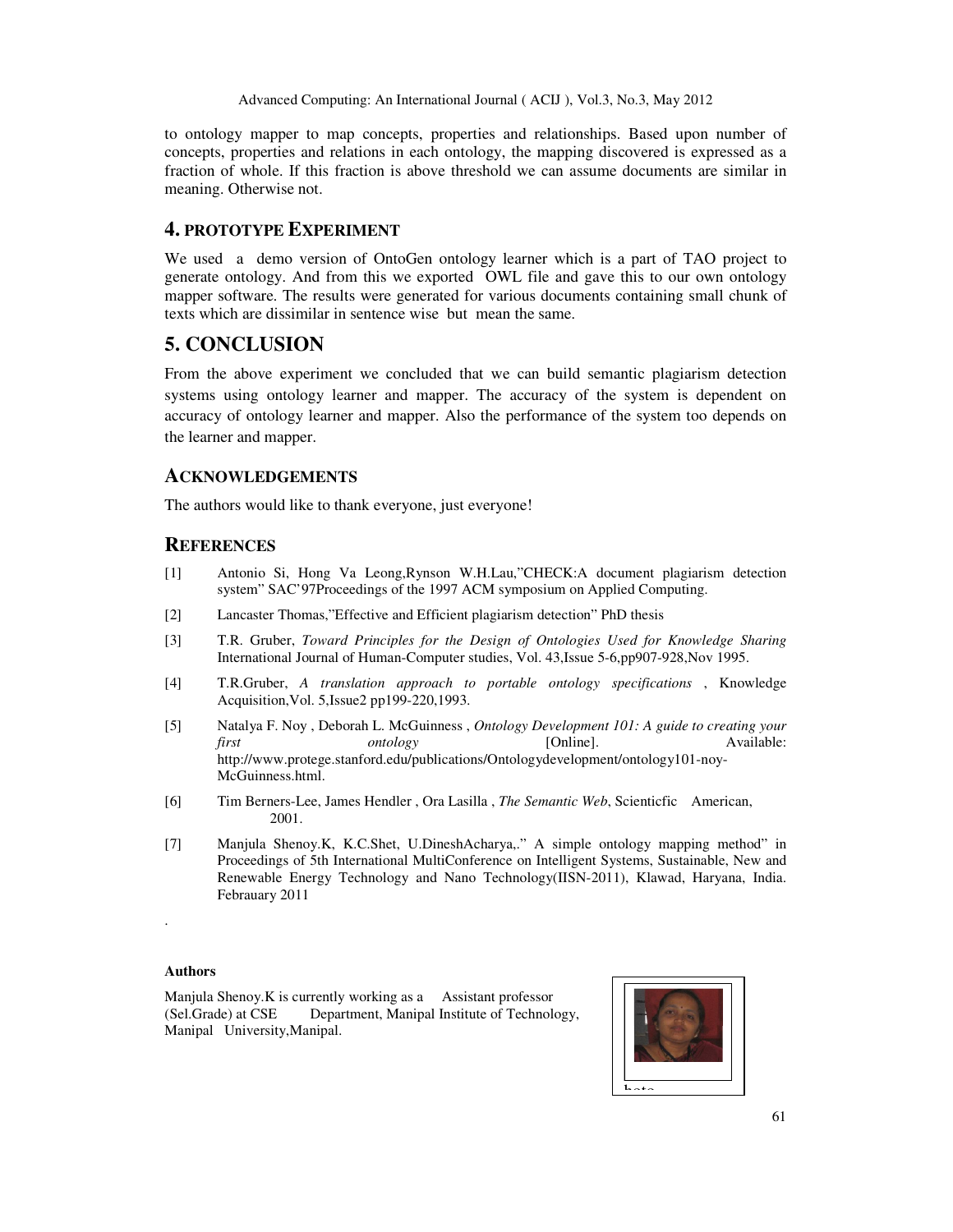Advanced Computing: An International Journal ( ACIJ ), Vol.3, No.3, May 2012

to ontology mapper to map concepts, properties and relationships. Based upon number of concepts, properties and relations in each ontology, the mapping discovered is expressed as a fraction of whole. If this fraction is above threshold we can assume documents are similar in meaning. Otherwise not.

#### **4. PROTOTYPE EXPERIMENT**

We used a demo version of OntoGen ontology learner which is a part of TAO project to generate ontology. And from this we exported OWL file and gave this to our own ontology mapper software. The results were generated for various documents containing small chunk of texts which are dissimilar in sentence wise but mean the same.

## **5. CONCLUSION**

From the above experiment we concluded that we can build semantic plagiarism detection systems using ontology learner and mapper. The accuracy of the system is dependent on accuracy of ontology learner and mapper. Also the performance of the system too depends on the learner and mapper.

#### **ACKNOWLEDGEMENTS**

The authors would like to thank everyone, just everyone!

## **REFERENCES**

- [1] Antonio Si, Hong Va Leong,Rynson W.H.Lau,"CHECK:A document plagiarism detection system" SAC'97Proceedings of the 1997 ACM symposium on Applied Computing.
- [2] Lancaster Thomas,"Effective and Efficient plagiarism detection" PhD thesis
- [3] T.R. Gruber, *Toward Principles for the Design of Ontologies Used for Knowledge Sharing* International Journal of Human-Computer studies, Vol. 43,Issue 5-6,pp907-928,Nov 1995.
- [4] T.R.Gruber, *A translation approach to portable ontology specifications* , Knowledge Acquisition,Vol. 5,Issue2 pp199-220,1993.
- [5] Natalya F. Noy , Deborah L. McGuinness , *Ontology Development 101: A guide to creating your first* **ontology come in the contract of the contract of the contract of the contract of the Available:** http://www.protege.stanford.edu/publications/Ontologydevelopment/ontology101-noy-McGuinness.html.
- [6] Tim Berners-Lee, James Hendler , Ora Lasilla , *The Semantic Web*, Scienticfic American, 2001.
- [7] Manjula Shenoy.K, K.C.Shet, U.DineshAcharya,." A simple ontology mapping method" in Proceedings of 5th International MultiConference on Intelligent Systems, Sustainable, New and Renewable Energy Technology and Nano Technology(IISN-2011), Klawad, Haryana, India. Febrauary 2011

#### **Authors**

.

Manjula Shenoy.K is currently working as a Assistant professor (Sel.Grade) at CSE Department, Manipal Institute of Technology, Manipal University,Manipal.